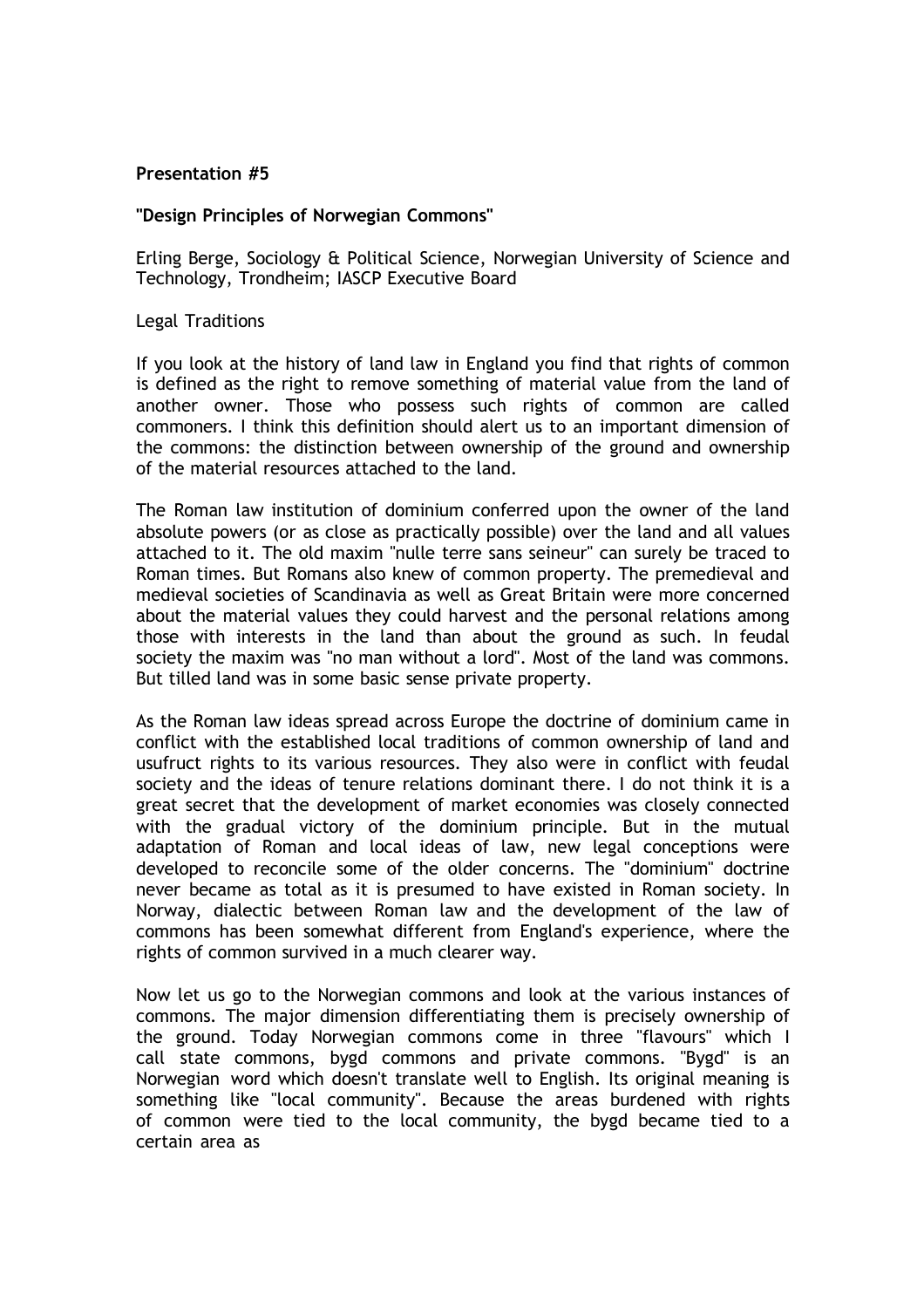## **Presentation #5**

## **"Design Principles of Norwegian Commons"**

Erling Berge, Sociology & Political Science, Norwegian University of Science and Technology, Trondheim; IASCP Executive Board

Legal Traditions

If you look at the history of land law in England you find that rights of common is defined as the right to remove something of material value from the land of another owner. Those who possess such rights of common are called commoners. I think this definition should alert us to an important dimension of the commons: the distinction between ownership of the ground and ownership of the material resources attached to the land.

The Roman law institution of dominium conferred upon the owner of the land absolute powers (or as close as practically possible) over the land and all values attached to it. The old maxim "nulle terre sans seineur" can surely be traced to Roman times. But Romans also knew of common property. The premedieval and medieval societies of Scandinavia as well as Great Britain were more concerned about the material values they could harvest and the personal relations among those with interests in the land than about the ground as such. In feudal society the maxim was "no man without a lord". Most of the land was commons. But tilled land was in some basic sense private property.

As the Roman law ideas spread across Europe the doctrine of dominium came in conflict with the established local traditions of common ownership of land and usufruct rights to its various resources. They also were in conflict with feudal society and the ideas of tenure relations dominant there. I do not think it is a great secret that the development of market economies was closely connected with the gradual victory of the dominium principle. But in the mutual adaptation of Roman and local ideas of law, new legal conceptions were developed to reconcile some of the older concerns. The "dominium" doctrine never became as total as it is presumed to have existed in Roman society. In Norway, dialectic between Roman law and the development of the law of commons has been somewhat different from England's experience, where the rights of common survived in a much clearer way.

Now let us go to the Norwegian commons and look at the various instances of commons. The major dimension differentiating them is precisely ownership of the ground. Today Norwegian commons come in three "flavours" which I call state commons, bygd commons and private commons. "Bygd" is an Norwegian word which doesn't translate well to English. Its original meaning is something like "local community". Because the areas burdened with rights of common were tied to the local community, the bygd became tied to a certain area as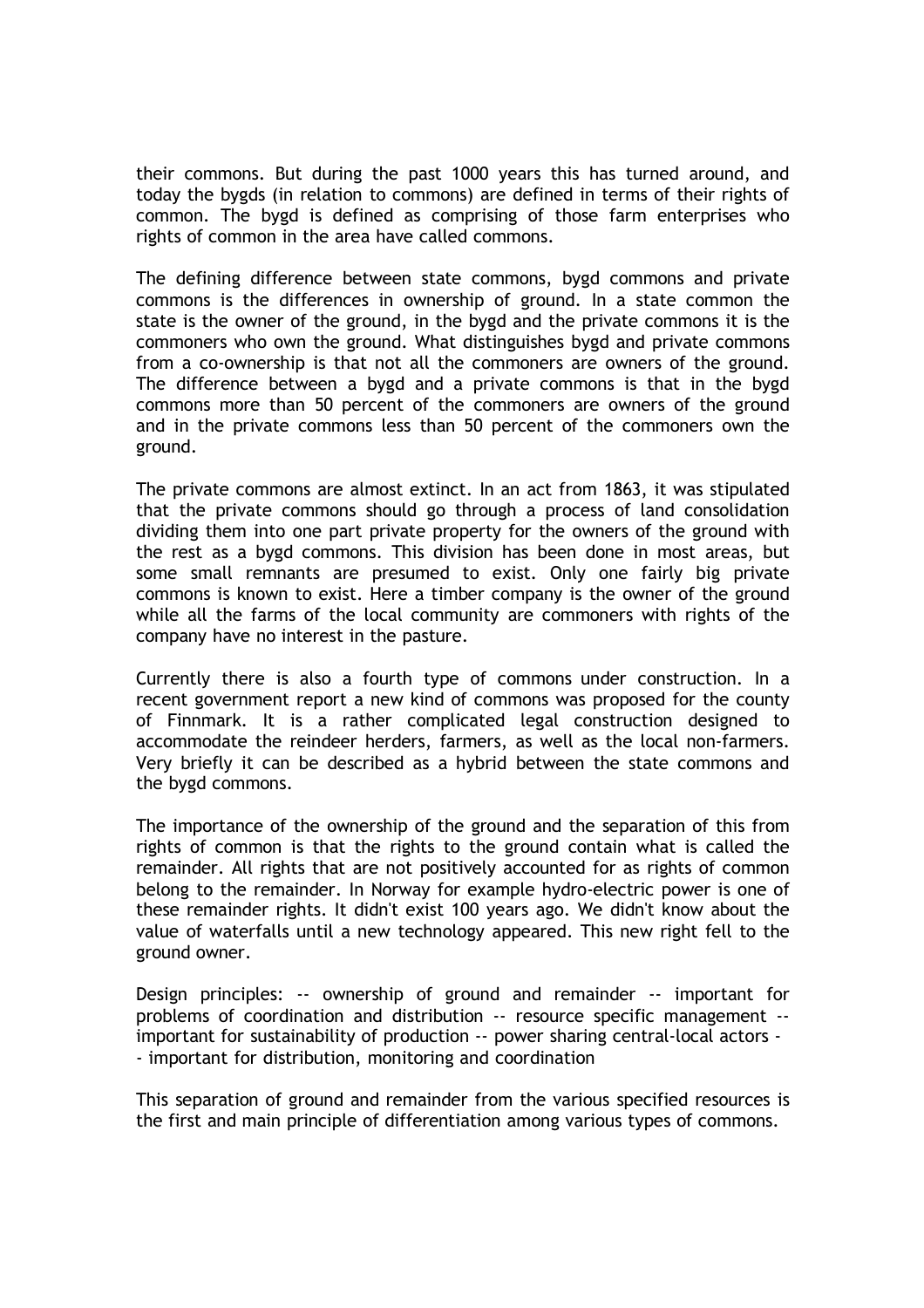their commons. But during the past 1000 years this has turned around, and today the bygds (in relation to commons) are defined in terms of their rights of common. The bygd is defined as comprising of those farm enterprises who rights of common in the area have called commons.

The defining difference between state commons, bygd commons and private commons is the differences in ownership of ground. In a state common the state is the owner of the ground, in the bygd and the private commons it is the commoners who own the ground. What distinguishes bygd and private commons from a co-ownership is that not all the commoners are owners of the ground. The difference between a bygd and a private commons is that in the bygd commons more than 50 percent of the commoners are owners of the ground and in the private commons less than 50 percent of the commoners own the ground.

The private commons are almost extinct. In an act from 1863, it was stipulated that the private commons should go through a process of land consolidation dividing them into one part private property for the owners of the ground with the rest as a bygd commons. This division has been done in most areas, but some small remnants are presumed to exist. Only one fairly big private commons is known to exist. Here a timber company is the owner of the ground while all the farms of the local community are commoners with rights of the company have no interest in the pasture.

Currently there is also a fourth type of commons under construction. In a recent government report a new kind of commons was proposed for the county of Finnmark. It is a rather complicated legal construction designed to accommodate the reindeer herders, farmers, as well as the local non-farmers. Very briefly it can be described as a hybrid between the state commons and the bygd commons.

The importance of the ownership of the ground and the separation of this from rights of common is that the rights to the ground contain what is called the remainder. All rights that are not positively accounted for as rights of common belong to the remainder. In Norway for example hydro-electric power is one of these remainder rights. It didn't exist 100 years ago. We didn't know about the value of waterfalls until a new technology appeared. This new right fell to the ground owner.

Design principles: -- ownership of ground and remainder -- important for problems of coordination and distribution -- resource specific management - important for sustainability of production -- power sharing central-local actors - - important for distribution, monitoring and coordination

This separation of ground and remainder from the various specified resources is the first and main principle of differentiation among various types of commons.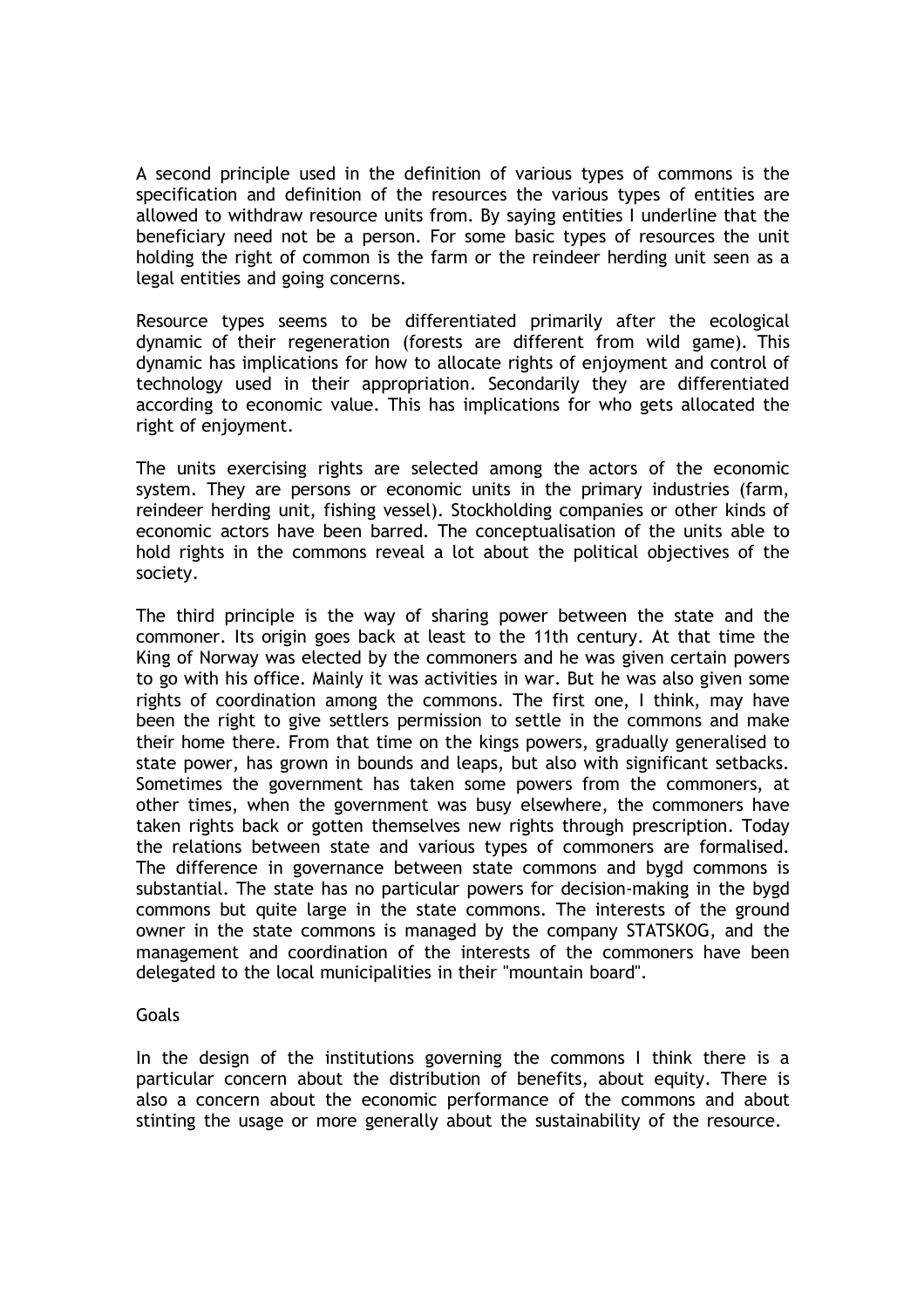A second principle used in the definition of various types of commons is the specification and definition of the resources the various types of entities are allowed to withdraw resource units from. By saying entities I underline that the beneficiary need not be a person. For some basic types of resources the unit holding the right of common is the farm or the reindeer herding unit seen as a legal entities and going concerns.

Resource types seems to be differentiated primarily after the ecological dynamic of their regeneration (forests are different from wild game). This dynamic has implications for how to allocate rights of enjoyment and control of technology used in their appropriation. Secondarily they are differentiated according to economic value. This has implications for who gets allocated the right of enjoyment.

The units exercising rights are selected among the actors of the economic system. They are persons or economic units in the primary industries (farm, reindeer herding unit, fishing vessel). Stockholding companies or other kinds of economic actors have been barred. The conceptualisation of the units able to hold rights in the commons reveal a lot about the political objectives of the society.

The third principle is the way of sharing power between the state and the commoner. Its origin goes back at least to the 11th century. At that time the King of Norway was elected by the commoners and he was given certain powers to go with his office. Mainly it was activities in war. But he was also given some rights of coordination among the commons. The first one, I think, may have been the right to give settlers permission to settle in the commons and make their home there. From that time on the kings powers, gradually generalised to state power, has grown in bounds and leaps, but also with significant setbacks. Sometimes the government has taken some powers from the commoners, at other times, when the government was busy elsewhere, the commoners have taken rights back or gotten themselves new rights through prescription. Today the relations between state and various types of commoners are formalised. The difference in governance between state commons and bygd commons is substantial. The state has no particular powers for decision-making in the bygd commons but quite large in the state commons. The interests of the ground owner in the state commons is managed by the company STATSKOG, and the management and coordination of the interests of the commoners have been delegated to the local municipalities in their "mountain board".

## Goals

In the design of the institutions governing the commons I think there is a particular concern about the distribution of benefits, about equity. There is also a concern about the economic performance of the commons and about stinting the usage or more generally about the sustainability of the resource.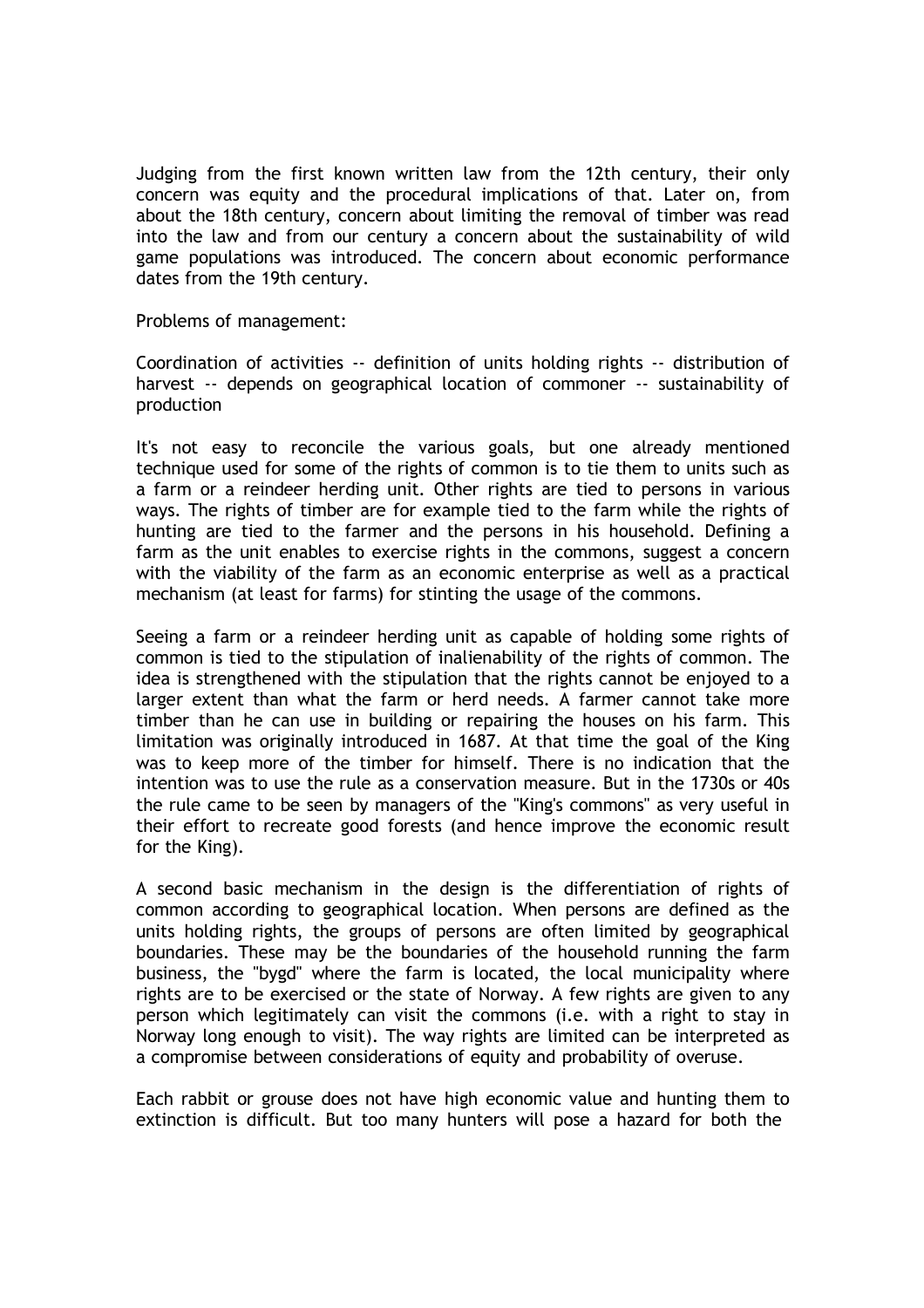Judging from the first known written law from the 12th century, their only concern was equity and the procedural implications of that. Later on, from about the 18th century, concern about limiting the removal of timber was read into the law and from our century a concern about the sustainability of wild game populations was introduced. The concern about economic performance dates from the 19th century.

Problems of management:

Coordination of activities -- definition of units holding rights -- distribution of harvest -- depends on geographical location of commoner -- sustainability of production

It's not easy to reconcile the various goals, but one already mentioned technique used for some of the rights of common is to tie them to units such as a farm or a reindeer herding unit. Other rights are tied to persons in various ways. The rights of timber are for example tied to the farm while the rights of hunting are tied to the farmer and the persons in his household. Defining a farm as the unit enables to exercise rights in the commons, suggest a concern with the viability of the farm as an economic enterprise as well as a practical mechanism (at least for farms) for stinting the usage of the commons.

Seeing a farm or a reindeer herding unit as capable of holding some rights of common is tied to the stipulation of inalienability of the rights of common. The idea is strengthened with the stipulation that the rights cannot be enjoyed to a larger extent than what the farm or herd needs. A farmer cannot take more timber than he can use in building or repairing the houses on his farm. This limitation was originally introduced in 1687. At that time the goal of the King was to keep more of the timber for himself. There is no indication that the intention was to use the rule as a conservation measure. But in the 1730s or 40s the rule came to be seen by managers of the "King's commons" as very useful in their effort to recreate good forests (and hence improve the economic result for the King).

A second basic mechanism in the design is the differentiation of rights of common according to geographical location. When persons are defined as the units holding rights, the groups of persons are often limited by geographical boundaries. These may be the boundaries of the household running the farm business, the "bygd" where the farm is located, the local municipality where rights are to be exercised or the state of Norway. A few rights are given to any person which legitimately can visit the commons (i.e. with a right to stay in Norway long enough to visit). The way rights are limited can be interpreted as a compromise between considerations of equity and probability of overuse.

Each rabbit or grouse does not have high economic value and hunting them to extinction is difficult. But too many hunters will pose a hazard for both the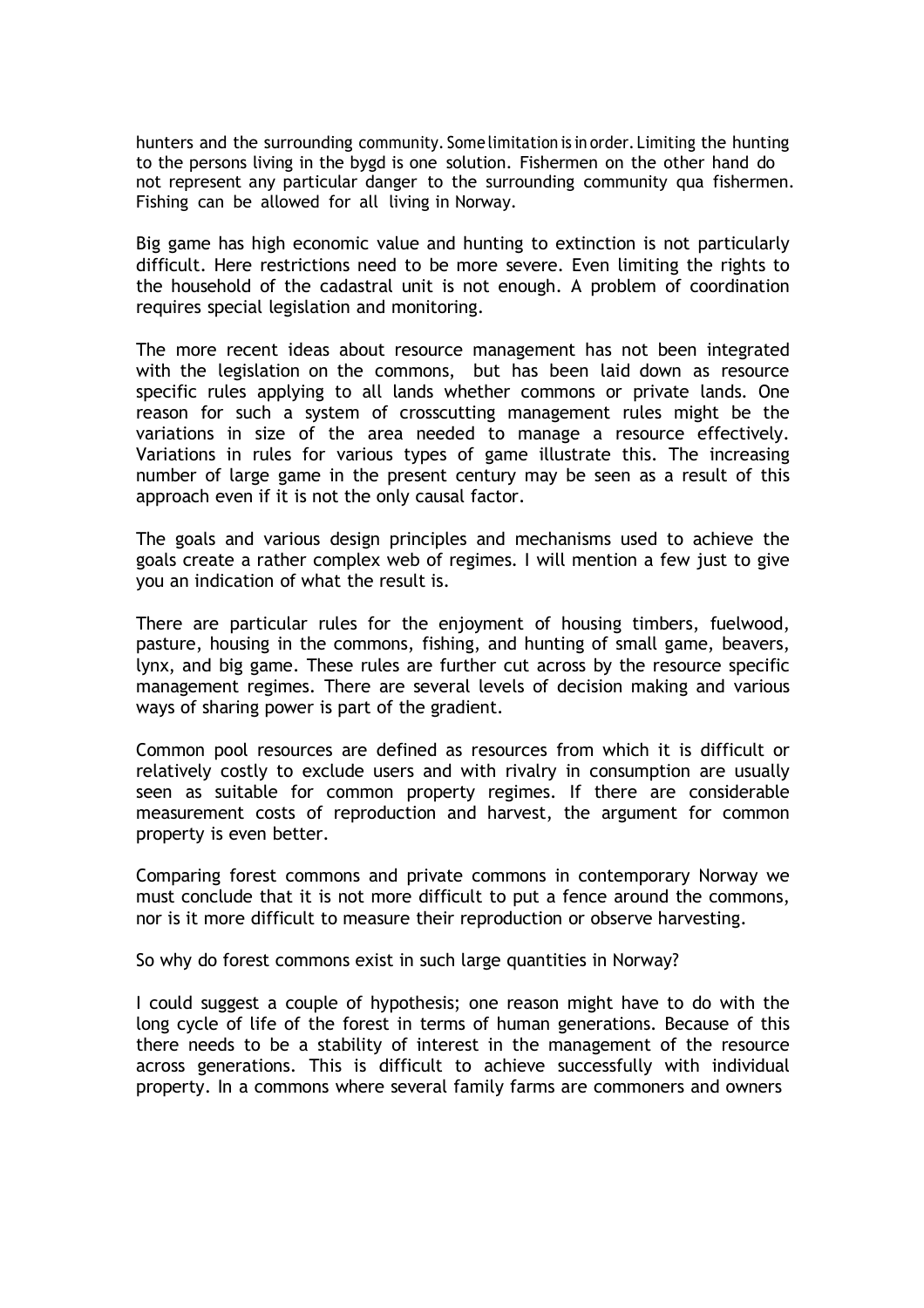hunters and the surrounding community. Some limitation is in order. Limiting the hunting to the persons living in the bygd is one solution. Fishermen on the other hand do not represent any particular danger to the surrounding community qua fishermen. Fishing can be allowed for all living in Norway.

Big game has high economic value and hunting to extinction is not particularly difficult. Here restrictions need to be more severe. Even limiting the rights to the household of the cadastral unit is not enough. A problem of coordination requires special legislation and monitoring.

The more recent ideas about resource management has not been integrated with the legislation on the commons, but has been laid down as resource specific rules applying to all lands whether commons or private lands. One reason for such a system of crosscutting management rules might be the variations in size of the area needed to manage a resource effectively. Variations in rules for various types of game illustrate this. The increasing number of large game in the present century may be seen as a result of this approach even if it is not the only causal factor.

The goals and various design principles and mechanisms used to achieve the goals create a rather complex web of regimes. I will mention a few just to give you an indication of what the result is.

There are particular rules for the enjoyment of housing timbers, fuelwood, pasture, housing in the commons, fishing, and hunting of small game, beavers, lynx, and big game. These rules are further cut across by the resource specific management regimes. There are several levels of decision making and various ways of sharing power is part of the gradient.

Common pool resources are defined as resources from which it is difficult or relatively costly to exclude users and with rivalry in consumption are usually seen as suitable for common property regimes. If there are considerable measurement costs of reproduction and harvest, the argument for common property is even better.

Comparing forest commons and private commons in contemporary Norway we must conclude that it is not more difficult to put a fence around the commons, nor is it more difficult to measure their reproduction or observe harvesting.

So why do forest commons exist in such large quantities in Norway?

I could suggest a couple of hypothesis; one reason might have to do with the long cycle of life of the forest in terms of human generations. Because of this there needs to be a stability of interest in the management of the resource across generations. This is difficult to achieve successfully with individual property. In a commons where several family farms are commoners and owners